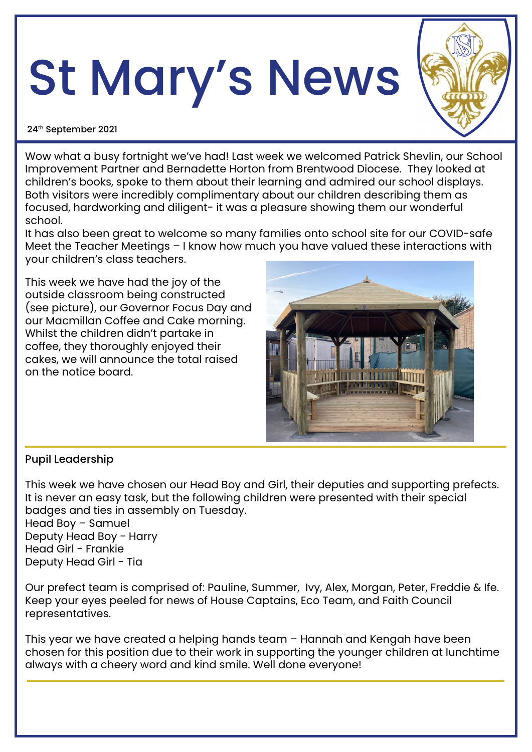# St Mary's News



24th September 2021

Wow what a busy fortnight we've had! Last week we welcomed Patrick Shevlin, our School Improvement Partner and Bernadette Horton from Brentwood Diocese. They looked at children's books, spoke to them about their learning and admired our school displays. Both visitors were incredibly complimentary about our children describing them as focused, hardworking and diligent- it was a pleasure showing them our wonderful school.

It has also been great to welcome so many families onto school site for our COVID-safe Meet the Teacher Meetings – I know how much you have valued these interactions with your children's class teachers.

This week we have had the joy of the outside classroom being constructed (see picture), our Governor Focus Day and our Macmillan Coffee and Cake morning. Whilst the children didn't partake in coffee, they thoroughly enjoyed their cakes, we will announce the total raised on the notice board.



#### Pupil Leadership

This week we have chosen our Head Boy and Girl, their deputies and supporting prefects. It is never an easy task, but the following children were presented with their special badges and ties in assembly on Tuesday.

Head Boy – Samuel Deputy Head Boy - Harry Head Girl - Frankie Deputy Head Girl - Tia

Our prefect team is comprised of: Pauline, Summer, Ivy, Alex, Morgan, Peter, Freddie & Ife. Keep your eyes peeled for news of House Captains, Eco Team, and Faith Council representatives.

This year we have created a helping hands team – Hannah and Kengah have been chosen for this position due to their work in supporting the younger children at lunchtime always with a cheery word and kind smile. Well done everyone!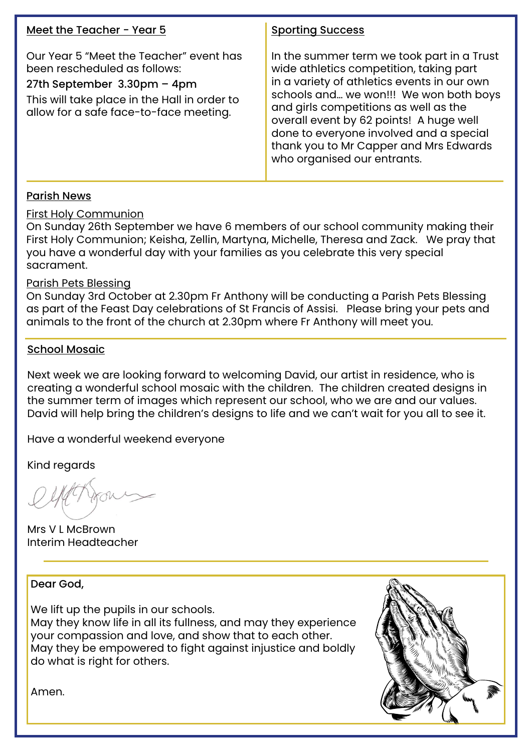| Meet the Teacher - Year 5                                                                                                                                                                        | <b>Sporting Success</b>                                                                                                                                                                                                                                                                                                                                                                |
|--------------------------------------------------------------------------------------------------------------------------------------------------------------------------------------------------|----------------------------------------------------------------------------------------------------------------------------------------------------------------------------------------------------------------------------------------------------------------------------------------------------------------------------------------------------------------------------------------|
| Our Year 5 "Meet the Teacher" event has<br>been rescheduled as follows:<br>27th September 3.30pm - 4pm<br>This will take place in the Hall in order to<br>allow for a safe face-to-face meeting. | In the summer term we took part in a Trust<br>wide athletics competition, taking part<br>in a variety of athletics events in our own<br>schools and we won!!! We won both boys<br>and girls competitions as well as the<br>overall event by 62 points! A huge well<br>done to everyone involved and a special<br>thank you to Mr Capper and Mrs Edwards<br>who organised our entrants. |

#### Parish News

First Holy Communion

On Sunday 26th September we have 6 members of our school community making their First Holy Communion; Keisha, Zellin, Martyna, Michelle, Theresa and Zack. We pray that you have a wonderful day with your families as you celebrate this very special sacrament.

#### Parish Pets Blessing

On Sunday 3rd October at 2.30pm Fr Anthony will be conducting a Parish Pets Blessing as part of the Feast Day celebrations of St Francis of Assisi. Please bring your pets and animals to the front of the church at 2.30pm where Fr Anthony will meet you.

#### School Mosaic

Next week we are looking forward to welcoming David, our artist in residence, who is creating a wonderful school mosaic with the children. The children created designs in the summer term of images which represent our school, who we are and our values. David will help bring the children's designs to life and we can't wait for you all to see it.

Have a wonderful weekend everyone

Kind regards

Mrs V L McBrown Interim Headteacher

Dear God,

We lift up the pupils in our schools.

May they know life in all its fullness, and may they experience your compassion and love, and show that to each other. May they be empowered to fight against injustice and boldly do what is right for others.



Amen.